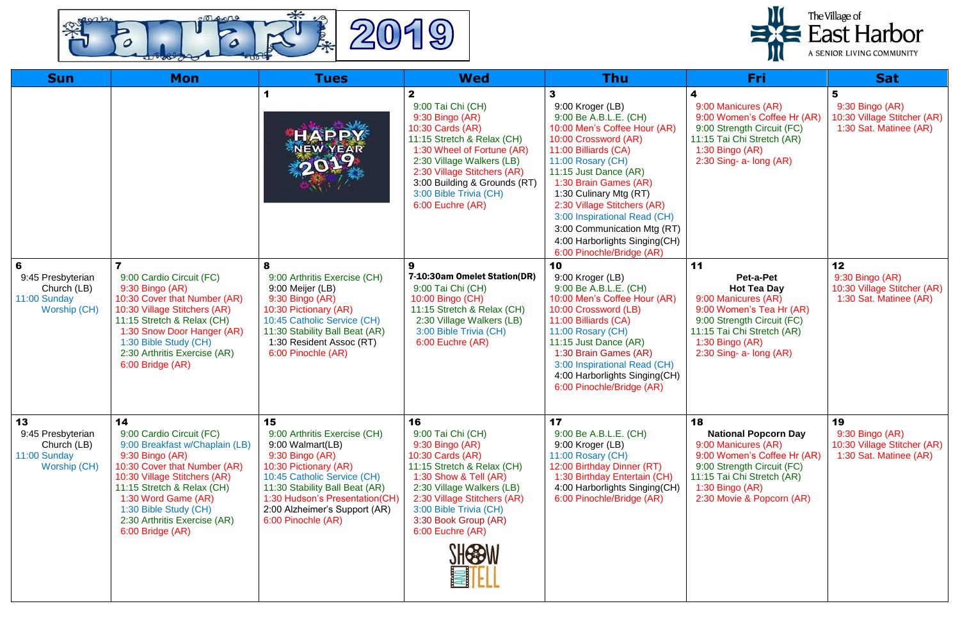

| <b>Sun</b>                                                                   | <b>Mon</b>                                                                                                                                                                                                                                                                            | <b>Tues</b>                                                                                                                                                                                                                                                  | <b>Wed</b>                                                                                                                                                                                                                                                                     | <b>Thu</b>                                                                                                                                                                                                                                                                                                                                                                             | Fri                                                                                                                                                                                                   | <b>Sat</b>                                                                     |
|------------------------------------------------------------------------------|---------------------------------------------------------------------------------------------------------------------------------------------------------------------------------------------------------------------------------------------------------------------------------------|--------------------------------------------------------------------------------------------------------------------------------------------------------------------------------------------------------------------------------------------------------------|--------------------------------------------------------------------------------------------------------------------------------------------------------------------------------------------------------------------------------------------------------------------------------|----------------------------------------------------------------------------------------------------------------------------------------------------------------------------------------------------------------------------------------------------------------------------------------------------------------------------------------------------------------------------------------|-------------------------------------------------------------------------------------------------------------------------------------------------------------------------------------------------------|--------------------------------------------------------------------------------|
|                                                                              |                                                                                                                                                                                                                                                                                       | HAPPY<br><b>NEW YEAR</b><br>5019                                                                                                                                                                                                                             | $\mathbf{2}$<br>9:00 Tai Chi (CH)<br>9:30 Bingo (AR)<br>10:30 Cards (AR)<br>11:15 Stretch & Relax (CH)<br>1:30 Wheel of Fortune (AR)<br>2:30 Village Walkers (LB)<br>2:30 Village Stitchers (AR)<br>3:00 Building & Grounds (RT)<br>3:00 Bible Trivia (CH)<br>6:00 Euchre (AR) | 9:00 Kroger (LB)<br>9:00 Be A.B.L.E. (CH)<br>10:00 Men's Coffee Hour (AR)<br>10:00 Crossword (AR)<br>11:00 Billiards (CA)<br>11:00 Rosary (CH)<br>11:15 Just Dance (AR)<br>1:30 Brain Games (AR)<br>1:30 Culinary Mtg (RT)<br>2:30 Village Stitchers (AR)<br>3:00 Inspirational Read (CH)<br>3:00 Communication Mtg (RT)<br>4:00 Harborlights Singing(CH)<br>6:00 Pinochle/Bridge (AR) | 4<br>9:00 Manicures (AR)<br>9:00 Women's Coffee Hr (AR)<br>9:00 Strength Circuit (FC)<br>11:15 Tai Chi Stretch (AR)<br>1:30 Bingo (AR)<br>$2:30$ Sing- a- long (AR)                                   | 5<br>9:30 Bingo (AR)<br>10:30 Village Stitcher (AR)<br>1:30 Sat. Matinee (AR)  |
| 6<br>9:45 Presbyterian<br>Church (LB)<br>11:00 Sunday<br><b>Worship (CH)</b> | 9:00 Cardio Circuit (FC)<br>9:30 Bingo (AR)<br>10:30 Cover that Number (AR)<br>10:30 Village Stitchers (AR)<br>11:15 Stretch & Relax (CH)<br>1:30 Snow Door Hanger (AR)<br>1:30 Bible Study (CH)<br>2:30 Arthritis Exercise (AR)<br>6:00 Bridge (AR)                                  | 8<br>9:00 Arthritis Exercise (CH)<br>9:00 Meijer (LB)<br>9:30 Bingo (AR)<br>10:30 Pictionary (AR)<br>10:45 Catholic Service (CH)<br>11:30 Stability Ball Beat (AR)<br>1:30 Resident Assoc (RT)<br>6:00 Pinochle (AR)                                         | 7-10:30am Omelet Station(DR)<br>9:00 Tai Chi (CH)<br>10:00 Bingo (CH)<br>11:15 Stretch & Relax (CH)<br>2:30 Village Walkers (LB)<br>3:00 Bible Trivia (CH)<br>6:00 Euchre (AR)                                                                                                 | 10<br>9:00 Kroger (LB)<br>9:00 Be A.B.L.E. (CH)<br>10:00 Men's Coffee Hour (AR)<br>10:00 Crossword (LB)<br>11:00 Billiards (CA)<br>11:00 Rosary (CH)<br>11:15 Just Dance (AR)<br>1:30 Brain Games (AR)<br>3:00 Inspirational Read (CH)<br>4:00 Harborlights Singing(CH)<br>6:00 Pinochle/Bridge (AR)                                                                                   | 11<br>Pet-a-Pet<br><b>Hot Tea Day</b><br>9:00 Manicures (AR)<br>9:00 Women's Tea Hr (AR)<br>9:00 Strength Circuit (FC)<br>11:15 Tai Chi Stretch (AR)<br>1:30 Bingo (AR)<br>$2:30$ Sing- a- long (AR)  | 12<br>9:30 Bingo (AR)<br>10:30 Village Stitcher (AR)<br>1:30 Sat. Matinee (AR) |
| 13<br>9:45 Presbyterian<br>Church (LB)<br>11:00 Sunday<br>Worship (CH)       | 14<br>9:00 Cardio Circuit (FC)<br>9:00 Breakfast w/Chaplain (LB)<br>9:30 Bingo (AR)<br>10:30 Cover that Number (AR)<br>10:30 Village Stitchers (AR)<br>11:15 Stretch & Relax (CH)<br>1:30 Word Game (AR)<br>1:30 Bible Study (CH)<br>2:30 Arthritis Exercise (AR)<br>6:00 Bridge (AR) | 15<br>9:00 Arthritis Exercise (CH)<br>9:00 Walmart(LB)<br>9:30 Bingo (AR)<br>10:30 Pictionary (AR)<br>10:45 Catholic Service (CH)<br>11:30 Stability Ball Beat (AR)<br>1:30 Hudson's Presentation(CH)<br>2:00 Alzheimer's Support (AR)<br>6:00 Pinochle (AR) | 16<br>9:00 Tai Chi (CH)<br>9:30 Bingo (AR)<br>10:30 Cards (AR)<br>11:15 Stretch & Relax (CH)<br>1:30 Show & Tell (AR)<br>2:30 Village Walkers (LB)<br>2:30 Village Stitchers (AR)<br>3:00 Bible Trivia (CH)<br>3:30 Book Group (AR)<br>6:00 Euchre (AR)                        | 17<br>9:00 Be A.B.L.E. (CH)<br>9:00 Kroger (LB)<br>11:00 Rosary (CH)<br>12:00 Birthday Dinner (RT)<br>1:30 Birthday Entertain (CH)<br>4:00 Harborlights Singing(CH)<br>6:00 Pinochle/Bridge (AR)                                                                                                                                                                                       | 18<br><b>National Popcorn Day</b><br>9:00 Manicures (AR)<br>9:00 Women's Coffee Hr (AR)<br>9:00 Strength Circuit (FC)<br>11:15 Tai Chi Stretch (AR)<br>$1:30$ Bingo (AR)<br>2:30 Movie & Popcorn (AR) | 19<br>9:30 Bingo (AR)<br>10:30 Village Stitcher (AR)<br>1:30 Sat. Matinee (AR) |

## The Village of<br> **East Harbor**<br>
A SENIOR LIVING COMMUNITY